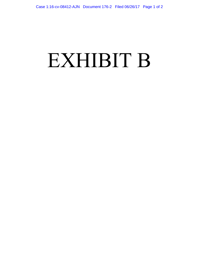## EXHIBIT B